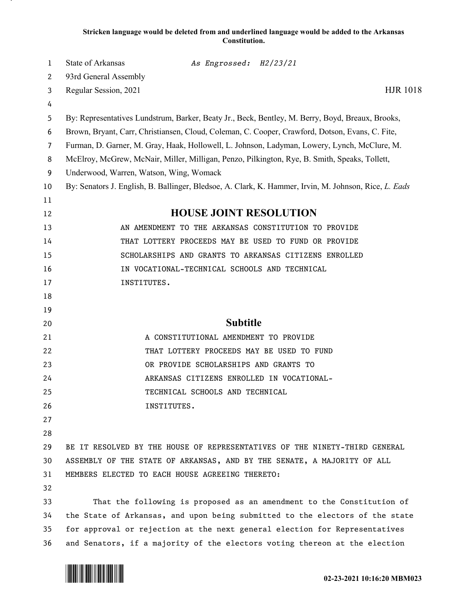## **Stricken language would be deleted from and underlined language would be added to the Arkansas Constitution.**

| 1              | State of Arkansas                                                                                     | As Engrossed: H2/23/21                    |                                                                                                  |
|----------------|-------------------------------------------------------------------------------------------------------|-------------------------------------------|--------------------------------------------------------------------------------------------------|
| $\overline{c}$ | 93rd General Assembly                                                                                 |                                           |                                                                                                  |
| 3              | Regular Session, 2021                                                                                 |                                           | <b>HJR 1018</b>                                                                                  |
| 4              |                                                                                                       |                                           |                                                                                                  |
| 5              |                                                                                                       |                                           | By: Representatives Lundstrum, Barker, Beaty Jr., Beck, Bentley, M. Berry, Boyd, Breaux, Brooks, |
| 6              | Brown, Bryant, Carr, Christiansen, Cloud, Coleman, C. Cooper, Crawford, Dotson, Evans, C. Fite,       |                                           |                                                                                                  |
| $\overline{7}$ | Furman, D. Garner, M. Gray, Haak, Hollowell, L. Johnson, Ladyman, Lowery, Lynch, McClure, M.          |                                           |                                                                                                  |
| 8              | McElroy, McGrew, McNair, Miller, Milligan, Penzo, Pilkington, Rye, B. Smith, Speaks, Tollett,         |                                           |                                                                                                  |
| 9              | Underwood, Warren, Watson, Wing, Womack                                                               |                                           |                                                                                                  |
| 10             | By: Senators J. English, B. Ballinger, Bledsoe, A. Clark, K. Hammer, Irvin, M. Johnson, Rice, L. Eads |                                           |                                                                                                  |
| 11             |                                                                                                       |                                           |                                                                                                  |
| 12             | <b>HOUSE JOINT RESOLUTION</b>                                                                         |                                           |                                                                                                  |
| 13             |                                                                                                       |                                           | AN AMENDMENT TO THE ARKANSAS CONSTITUTION TO PROVIDE                                             |
| 14             | THAT LOTTERY PROCEEDS MAY BE USED TO FUND OR PROVIDE                                                  |                                           |                                                                                                  |
| 15             |                                                                                                       |                                           | SCHOLARSHIPS AND GRANTS TO ARKANSAS CITIZENS ENROLLED                                            |
| 16             | IN VOCATIONAL-TECHNICAL SCHOOLS AND TECHNICAL                                                         |                                           |                                                                                                  |
| 17             | INSTITUTES.                                                                                           |                                           |                                                                                                  |
| 18             |                                                                                                       |                                           |                                                                                                  |
| 19             |                                                                                                       |                                           |                                                                                                  |
| 20             | <b>Subtitle</b>                                                                                       |                                           |                                                                                                  |
| 21             | A CONSTITUTIONAL AMENDMENT TO PROVIDE                                                                 |                                           |                                                                                                  |
| 22             | THAT LOTTERY PROCEEDS MAY BE USED TO FUND                                                             |                                           |                                                                                                  |
| 23             | OR PROVIDE SCHOLARSHIPS AND GRANTS TO                                                                 |                                           |                                                                                                  |
| 24             |                                                                                                       | ARKANSAS CITIZENS ENROLLED IN VOCATIONAL- |                                                                                                  |
| 25             |                                                                                                       | TECHNICAL SCHOOLS AND TECHNICAL           |                                                                                                  |
| 26             |                                                                                                       | INSTITUTES.                               |                                                                                                  |
| 27             |                                                                                                       |                                           |                                                                                                  |
| 28             |                                                                                                       |                                           |                                                                                                  |
| 29             |                                                                                                       |                                           | BE IT RESOLVED BY THE HOUSE OF REPRESENTATIVES OF THE NINETY-THIRD GENERAL                       |
| 30             | ASSEMBLY OF THE STATE OF ARKANSAS, AND BY THE SENATE, A MAJORITY OF ALL                               |                                           |                                                                                                  |
| 31             | MEMBERS ELECTED TO EACH HOUSE AGREEING THERETO:                                                       |                                           |                                                                                                  |
| 32             |                                                                                                       |                                           |                                                                                                  |
| 33             |                                                                                                       |                                           | That the following is proposed as an amendment to the Constitution of                            |
| 34             | the State of Arkansas, and upon being submitted to the electors of the state                          |                                           |                                                                                                  |
| 35             | for approval or rejection at the next general election for Representatives                            |                                           |                                                                                                  |
| 36             | and Senators, if a majority of the electors voting thereon at the election                            |                                           |                                                                                                  |